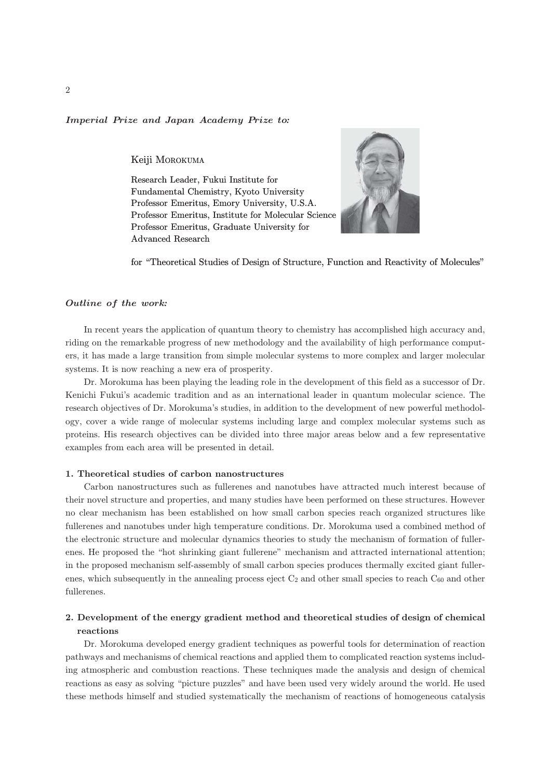# Imperial Prize and Japan Academy Prize to*:*

Keiji MOROKUMA

Research Leader, Fukui Institute for Fundamental Chemistry, Kyoto University Professor Emeritus, Emory University, U.S.A. Professor Emeritus, Institute for Molecular Science Professor Emeritus, Graduate University for Advanced Research



for "Theoretical Studies of Design of Structure, Function and Reactivity of Molecules"

# Outline of the work*:*

In recent years the application of quantum theory to chemistry has accomplished high accuracy and, riding on the remarkable progress of new methodology and the availability of high performance computers, it has made a large transition from simple molecular systems to more complex and larger molecular systems. It is now reaching a new era of prosperity.

Dr. Morokuma has been playing the leading role in the development of this field as a successor of Dr. Kenichi Fukui's academic tradition and as an international leader in quantum molecular science. The research objectives of Dr. Morokuma's studies, in addition to the development of new powerful methodology, cover a wide range of molecular systems including large and complex molecular systems such as proteins. His research objectives can be divided into three major areas below and a few representative examples from each area will be presented in detail.

### 1. Theoretical studies of carbon nanostructures

Carbon nanostructures such as fullerenes and nanotubes have attracted much interest because of their novel structure and properties, and many studies have been performed on these structures. However no clear mechanism has been established on how small carbon species reach organized structures like fullerenes and nanotubes under high temperature conditions. Dr. Morokuma used a combined method of the electronic structure and molecular dynamics theories to study the mechanism of formation of fullerenes. He proposed the "hot shrinking giant fullerene" mechanism and attracted international attention; in the proposed mechanism self-assembly of small carbon species produces thermally excited giant fullerenes, which subsequently in the annealing process eject  $C_2$  and other small species to reach  $C_{60}$  and other fullerenes.

# 2. Development of the energy gradient method and theoretical studies of design of chemical reactions

Dr. Morokuma developed energy gradient techniques as powerful tools for determination of reaction pathways and mechanisms of chemical reactions and applied them to complicated reaction systems including atmospheric and combustion reactions. These techniques made the analysis and design of chemical reactions as easy as solving "picture puzzles" and have been used very widely around the world. He used these methods himself and studied systematically the mechanism of reactions of homogeneous catalysis